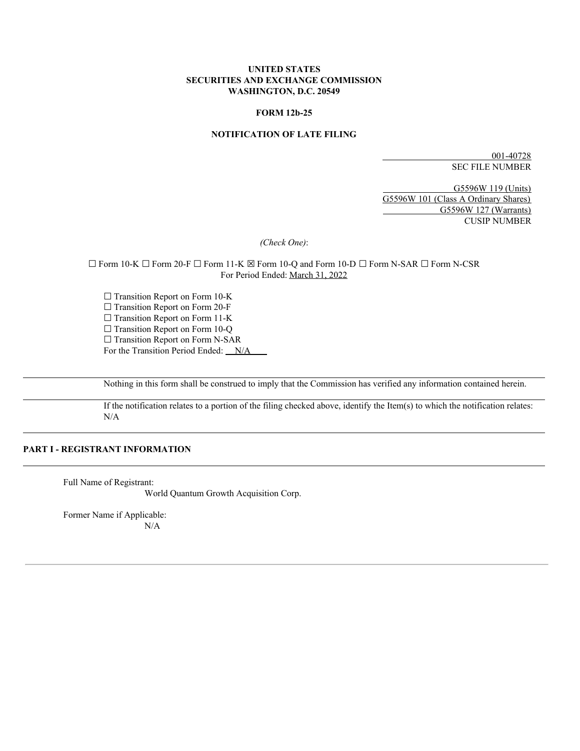### **UNITED STATES SECURITIES AND EXCHANGE COMMISSION WASHINGTON, D.C. 20549**

#### **FORM 12b-25**

### **NOTIFICATION OF LATE FILING**

001-40728 SEC FILE NUMBER

G5596W 119 (Units) G5596W 101 (Class A Ordinary Shares) G5596W 127 (Warrants) CUSIP NUMBER

*(Check One)*:

☐ Form 10-K ☐ Form 20-F ☐ Form 11-K ☒ Form 10-Q and Form 10-D ☐ Form N-SAR ☐ Form N-CSR For Period Ended: March 31, 2022

□ Transition Report on Form 10-K □ Transition Report on Form 20-F □ Transition Report on Form 11-K □ Transition Report on Form 10-Q □ Transition Report on Form N-SAR For the Transition Period Ended: N/A

Nothing in this form shall be construed to imply that the Commission has verified any information contained herein.

If the notification relates to a portion of the filing checked above, identify the Item(s) to which the notification relates: N/A

### **PART I - REGISTRANT INFORMATION**

Full Name of Registrant:

World Quantum Growth Acquisition Corp.

Former Name if Applicable: N/A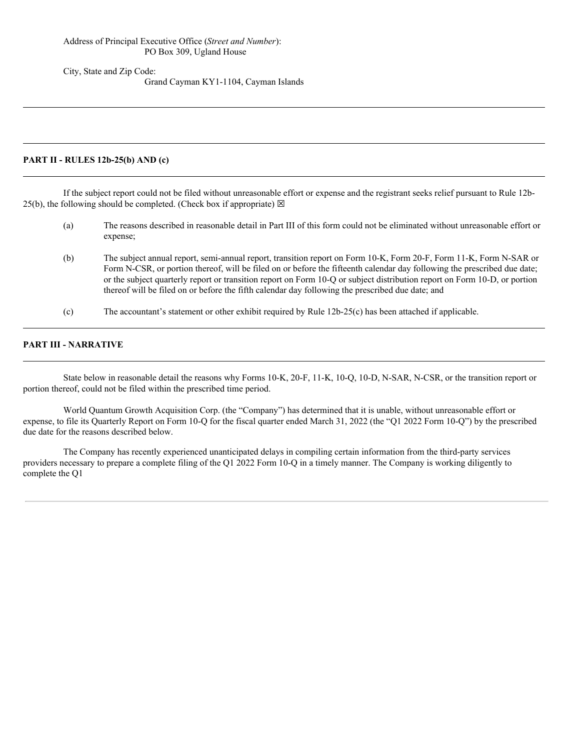#### Address of Principal Executive Office (*Street and Number*): PO Box 309, Ugland House

City, State and Zip Code:

Grand Cayman KY1-1104, Cayman Islands

### **PART II - RULES 12b-25(b) AND (c)**

If the subject report could not be filed without unreasonable effort or expense and the registrant seeks relief pursuant to Rule 12b-25(b), the following should be completed. (Check box if appropriate)  $\boxtimes$ 

- (a) The reasons described in reasonable detail in Part III of this form could not be eliminated without unreasonable effort or expense;
- (b) The subject annual report, semi-annual report, transition report on Form 10-K, Form 20-F, Form 11-K, Form N-SAR or Form N-CSR, or portion thereof, will be filed on or before the fifteenth calendar day following the prescribed due date; or the subject quarterly report or transition report on Form 10-Q or subject distribution report on Form 10-D, or portion thereof will be filed on or before the fifth calendar day following the prescribed due date; and
- (c) The accountant's statement or other exhibit required by Rule 12b-25(c) has been attached if applicable.

## **PART III - NARRATIVE**

State below in reasonable detail the reasons why Forms 10-K, 20-F, 11-K, 10-Q, 10-D, N-SAR, N-CSR, or the transition report or portion thereof, could not be filed within the prescribed time period.

World Quantum Growth Acquisition Corp. (the "Company") has determined that it is unable, without unreasonable effort or expense, to file its Quarterly Report on Form 10-Q for the fiscal quarter ended March 31, 2022 (the "Q1 2022 Form 10-Q") by the prescribed due date for the reasons described below.

The Company has recently experienced unanticipated delays in compiling certain information from the third-party services providers necessary to prepare a complete filing of the Q1 2022 Form 10-Q in a timely manner. The Company is working diligently to complete the Q1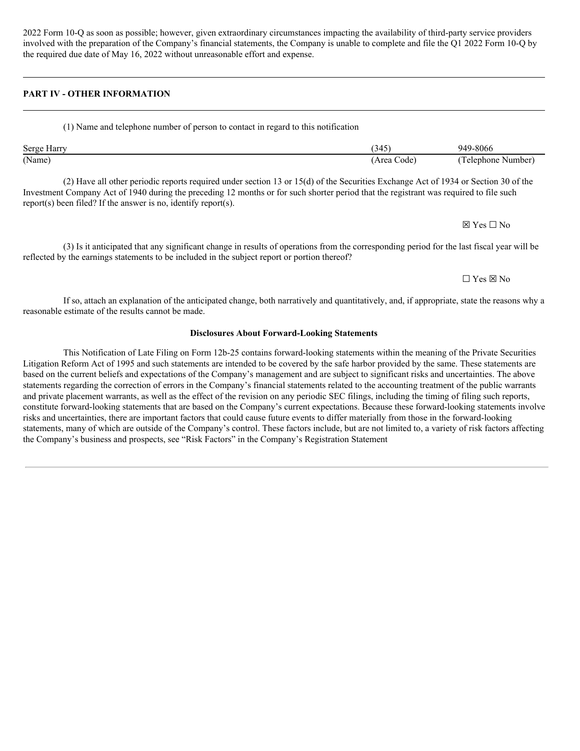2022 Form 10-Q as soon as possible; however, given extraordinary circumstances impacting the availability of third-party service providers involved with the preparation of the Company's financial statements, the Company is unable to complete and file the Q1 2022 Form 10-Q by the required due date of May 16, 2022 without unreasonable effort and expense.

# **PART IV - OTHER INFORMATION**

#### (1) Name and telephone number of person to contact in regard to this notification

| Serge Harry | (345)       | 949-8066           |
|-------------|-------------|--------------------|
| (Name)      | (Area Code) | (Telephone Number) |

(2) Have all other periodic reports required under section 13 or 15(d) of the Securities Exchange Act of 1934 or Section 30 of the Investment Company Act of 1940 during the preceding 12 months or for such shorter period that the registrant was required to file such report(s) been filed? If the answer is no, identify report(s).

(3) Is it anticipated that any significant change in results of operations from the corresponding period for the last fiscal year will be reflected by the earnings statements to be included in the subject report or portion thereof?

# ☐ Yes ☒ No

☒ Yes ☐ No

If so, attach an explanation of the anticipated change, both narratively and quantitatively, and, if appropriate, state the reasons why a reasonable estimate of the results cannot be made.

### **Disclosures About Forward-Looking Statements**

This Notification of Late Filing on Form 12b-25 contains forward-looking statements within the meaning of the Private Securities Litigation Reform Act of 1995 and such statements are intended to be covered by the safe harbor provided by the same. These statements are based on the current beliefs and expectations of the Company's management and are subject to significant risks and uncertainties. The above statements regarding the correction of errors in the Company's financial statements related to the accounting treatment of the public warrants and private placement warrants, as well as the effect of the revision on any periodic SEC filings, including the timing of filing such reports, constitute forward-looking statements that are based on the Company's current expectations. Because these forward-looking statements involve risks and uncertainties, there are important factors that could cause future events to differ materially from those in the forward-looking statements, many of which are outside of the Company's control. These factors include, but are not limited to, a variety of risk factors affecting the Company's business and prospects, see "Risk Factors" in the Company's Registration Statement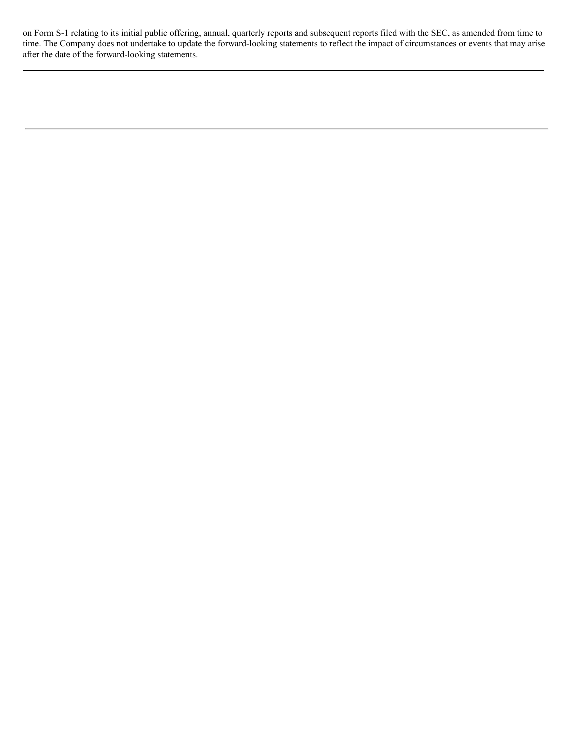on Form S-1 relating to its initial public offering, annual, quarterly reports and subsequent reports filed with the SEC, as amended from time to time. The Company does not undertake to update the forward-looking statements to reflect the impact of circumstances or events that may arise after the date of the forward-looking statements.